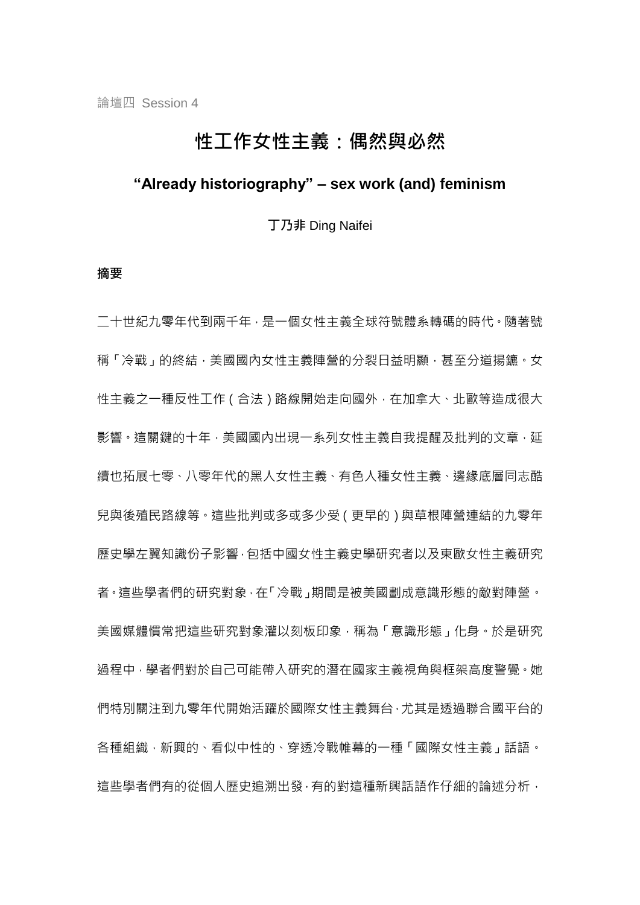# 性工作女性主義:偶然與必然

# **"Already historiography" – sex work (and) feminism**

丁乃非 Ding Naifei

#### 摘要

二十世紀九零年代到兩千年,是一個女性主義全球符號體系轉碼的時代。隨著號 稱「冷戰」的終結,美國國內女性主義陣營的分裂日益明顯,甚至分道揚鑣。女 性主義之一種反性工作(合法)路線開始走向國外,在加拿大、北歐等造成很大 影響。這關鍵的十年,美國國內出現一系列女性主義自我提醒及批判的文章,延 續也拓展七零、八零年代的黑人女性主義、有色人種女性主義、邊緣底層同志酷 兒與後殖民路線等。這些批判或多或多少受(更早的)與草根陣營連結的九零年 歷史學左翼知識份子影響,包括中國女性主義史學研究者以及東歐女性主義研究 者。這些學者們的研究對象,在「冷戰」期間是被美國劃成意識形態的敵對陣營。 美國媒體慣常把這些研究對象灌以刻板印象,稱為「意識形態」化身。於是研究 過程中,學者們對於自己可能帶入研究的潛在國家主義視角與框架高度警覺。她 們特別關注到九零年代開始活躍於國際女性主義舞台,尤其是透過聯合國平台的 各種組織,新興的、看似中性的、穿透冷戰帷幕的一種「國際女性主義」話語。 這些學者們有的從個人歷史追溯出發,有的對這種新興話語作仔細的論述分析,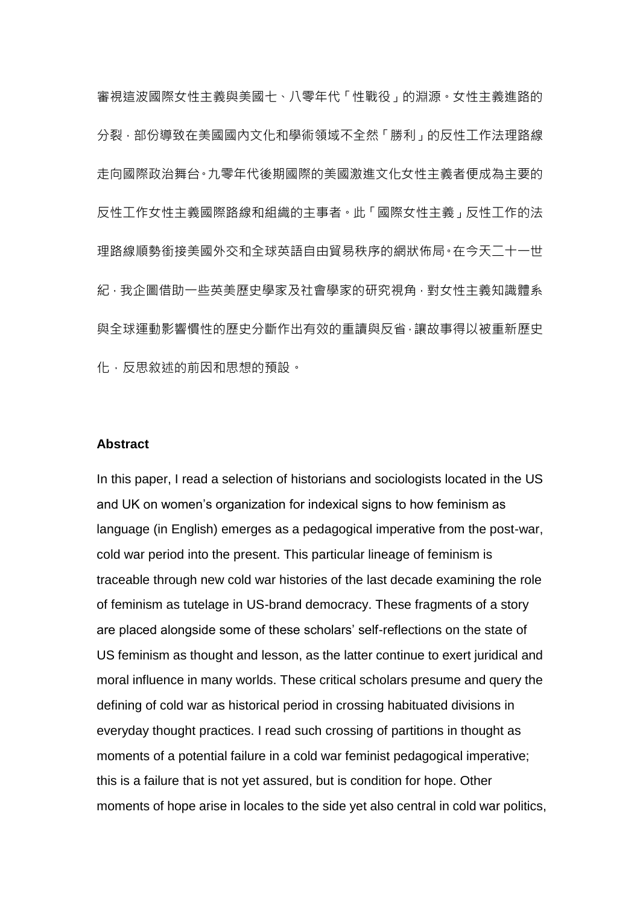審視這波國際女性主義與美國七、八零年代「性戰役」的淵源。女性主義進路的 分裂,部份導致在美國國內文化和學術領域不全然「勝利」的反性工作法理路線 走向國際政治舞台。九零年代後期國際的美國激進文化女性主義者便成為主要的 反性工作女性主義國際路線和組織的主事者。此「國際女性主義」反性工作的法 理路線順勢銜接美國外交和全球英語自由貿易秩序的網狀佈局。在今天二十一世 紀,我企圖借助一些英美歷史學家及社會學家的研究視角,對女性主義知識體系 與全球運動影響慣性的歷史分斷作出有效的重讀與反省,讓故事得以被重新歷史 化,反思敘述的前因和思想的預設。

## **Abstract**

In this paper, I read a selection of historians and sociologists located in the US and UK on women's organization for indexical signs to how feminism as language (in English) emerges as a pedagogical imperative from the post-war, cold war period into the present. This particular lineage of feminism is traceable through new cold war histories of the last decade examining the role of feminism as tutelage in US-brand democracy. These fragments of a story are placed alongside some of these scholars' self-reflections on the state of US feminism as thought and lesson, as the latter continue to exert juridical and moral influence in many worlds. These critical scholars presume and query the defining of cold war as historical period in crossing habituated divisions in everyday thought practices. I read such crossing of partitions in thought as moments of a potential failure in a cold war feminist pedagogical imperative; this is a failure that is not yet assured, but is condition for hope. Other moments of hope arise in locales to the side yet also central in cold war politics,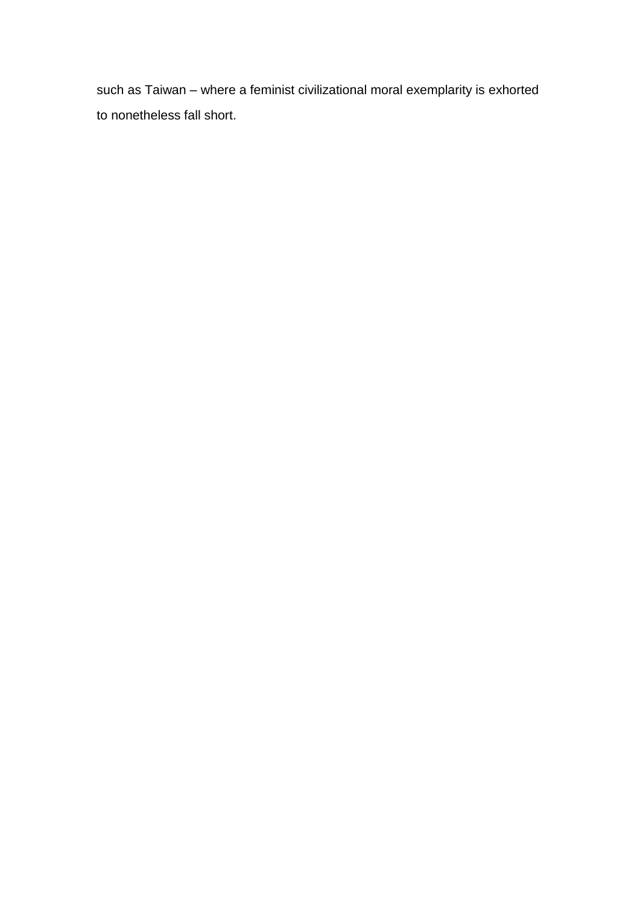such as Taiwan – where a feminist civilizational moral exemplarity is exhorted to nonetheless fall short.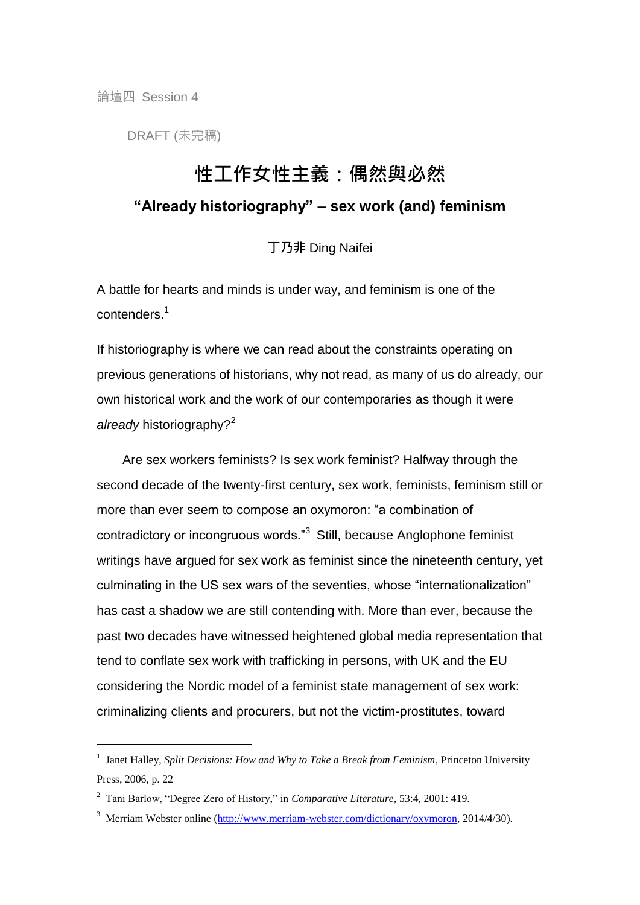論壇四 Session 4

-

DRAFT (未完稿)

# 性工作女性主義:偶然與必然

# **"Already historiography" – sex work (and) feminism**

丁乃非 Ding Naifei

A battle for hearts and minds is under way, and feminism is one of the contenders.<sup>1</sup>

If historiography is where we can read about the constraints operating on previous generations of historians, why not read, as many of us do already, our own historical work and the work of our contemporaries as though it were *already* historiography?<sup>2</sup>

Are sex workers feminists? Is sex work feminist? Halfway through the second decade of the twenty-first century, sex work, feminists, feminism still or more than ever seem to compose an oxymoron: "a combination of contradictory or incongruous words."<sup>3</sup> Still, because Anglophone feminist writings have argued for sex work as feminist since the nineteenth century, yet culminating in the US sex wars of the seventies, whose "internationalization" has cast a shadow we are still contending with. More than ever, because the past two decades have witnessed heightened global media representation that tend to conflate sex work with trafficking in persons, with UK and the EU considering the Nordic model of a feminist state management of sex work: criminalizing clients and procurers, but not the victim-prostitutes, toward

<sup>&</sup>lt;sup>1</sup> Janet Halley, *Split Decisions: How and Why to Take a Break from Feminism*, Princeton University Press, 2006, p. 22

<sup>2</sup> Tani Barlow, "Degree Zero of History," in *Comparative Literature*, 53:4, 2001: 419.

<sup>&</sup>lt;sup>3</sup> Merriam Webster online [\(http://www.merriam-webster.com/dictionary/oxymoron,](http://www.merriam-webster.com/dictionary/oxymoron) 2014/4/30).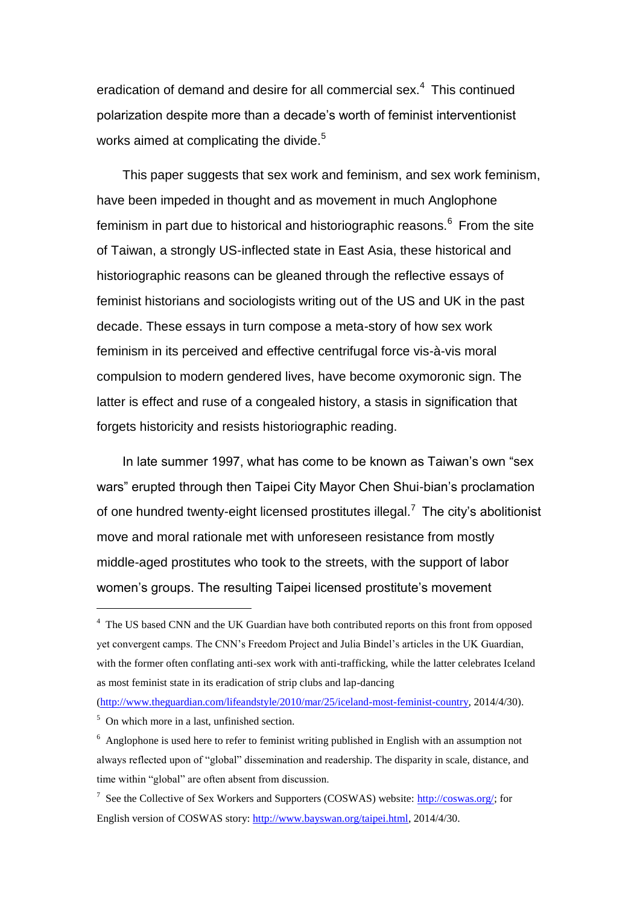eradication of demand and desire for all commercial sex.<sup>4</sup> This continued polarization despite more than a decade's worth of feminist interventionist works aimed at complicating the divide.<sup>5</sup>

This paper suggests that sex work and feminism, and sex work feminism, have been impeded in thought and as movement in much Anglophone feminism in part due to historical and historiographic reasons.<sup>6</sup> From the site of Taiwan, a strongly US-inflected state in East Asia, these historical and historiographic reasons can be gleaned through the reflective essays of feminist historians and sociologists writing out of the US and UK in the past decade. These essays in turn compose a meta-story of how sex work feminism in its perceived and effective centrifugal force vis-à-vis moral compulsion to modern gendered lives, have become oxymoronic sign. The latter is effect and ruse of a congealed history, a stasis in signification that forgets historicity and resists historiographic reading.

In late summer 1997, what has come to be known as Taiwan's own "sex wars" erupted through then Taipei City Mayor Chen Shui-bian's proclamation of one hundred twenty-eight licensed prostitutes illegal.<sup>7</sup> The city's abolitionist move and moral rationale met with unforeseen resistance from mostly middle-aged prostitutes who took to the streets, with the support of labor women's groups. The resulting Taipei licensed prostitute's movement

[\(http://www.theguardian.com/lifeandstyle/2010/mar/25/iceland-most-feminist-country,](http://www.theguardian.com/lifeandstyle/2010/mar/25/iceland-most-feminist-country) 2014/4/30).

<sup>&</sup>lt;sup>4</sup> The US based CNN and the UK Guardian have both contributed reports on this front from opposed yet convergent camps. The CNN's Freedom Project and Julia Bindel's articles in the UK Guardian, with the former often conflating anti-sex work with anti-trafficking, while the latter celebrates Iceland as most feminist state in its eradication of strip clubs and lap-dancing

<sup>5</sup> On which more in a last, unfinished section.

<sup>&</sup>lt;sup>6</sup> Anglophone is used here to refer to feminist writing published in English with an assumption not always reflected upon of "global" dissemination and readership. The disparity in scale, distance, and time within "global" are often absent from discussion.

<sup>&</sup>lt;sup>7</sup> See the Collective of Sex Workers and Supporters (COSWAS) website: [http://coswas.org/;](http://coswas.org/) for English version of COSWAS story: [http://www.bayswan.org/taipei.html,](http://www.bayswan.org/taipei.html) 2014/4/30.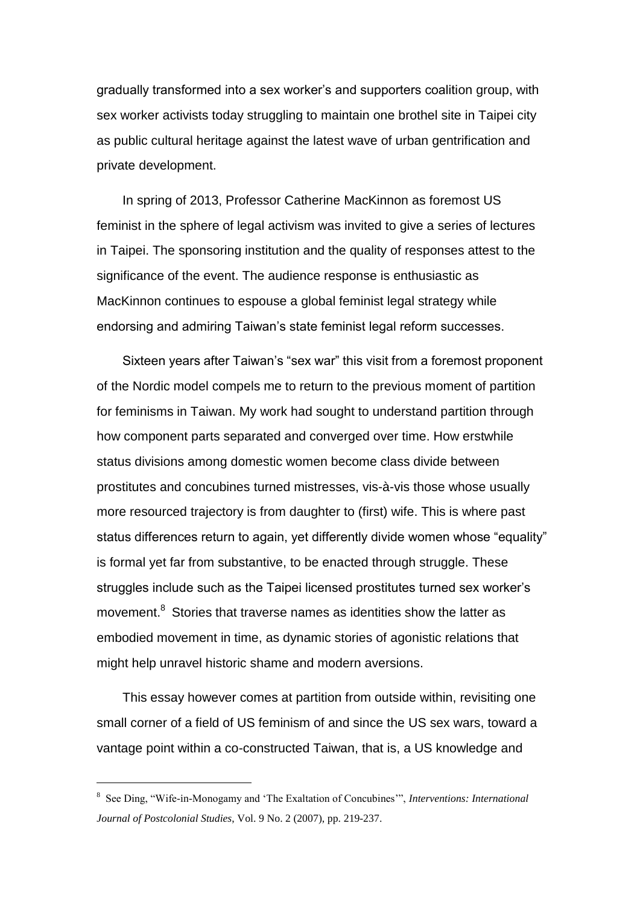gradually transformed into a sex worker's and supporters coalition group, with sex worker activists today struggling to maintain one brothel site in Taipei city as public cultural heritage against the latest wave of urban gentrification and private development.

In spring of 2013, Professor Catherine MacKinnon as foremost US feminist in the sphere of legal activism was invited to give a series of lectures in Taipei. The sponsoring institution and the quality of responses attest to the significance of the event. The audience response is enthusiastic as MacKinnon continues to espouse a global feminist legal strategy while endorsing and admiring Taiwan's state feminist legal reform successes.

Sixteen years after Taiwan's "sex war" this visit from a foremost proponent of the Nordic model compels me to return to the previous moment of partition for feminisms in Taiwan. My work had sought to understand partition through how component parts separated and converged over time. How erstwhile status divisions among domestic women become class divide between prostitutes and concubines turned mistresses, vis-à-vis those whose usually more resourced trajectory is from daughter to (first) wife. This is where past status differences return to again, yet differently divide women whose "equality" is formal yet far from substantive, to be enacted through struggle. These struggles include such as the Taipei licensed prostitutes turned sex worker's movement.<sup>8</sup> Stories that traverse names as identities show the latter as embodied movement in time, as dynamic stories of agonistic relations that might help unravel historic shame and modern aversions.

This essay however comes at partition from outside within, revisiting one small corner of a field of US feminism of and since the US sex wars, toward a vantage point within a co-constructed Taiwan, that is, a US knowledge and

<sup>8</sup> See Ding, "Wife-in-Monogamy and 'The Exaltation of Concubines'", *Interventions: International Journal of Postcolonial Studies*, Vol. 9 No. 2 (2007), pp. 219-237.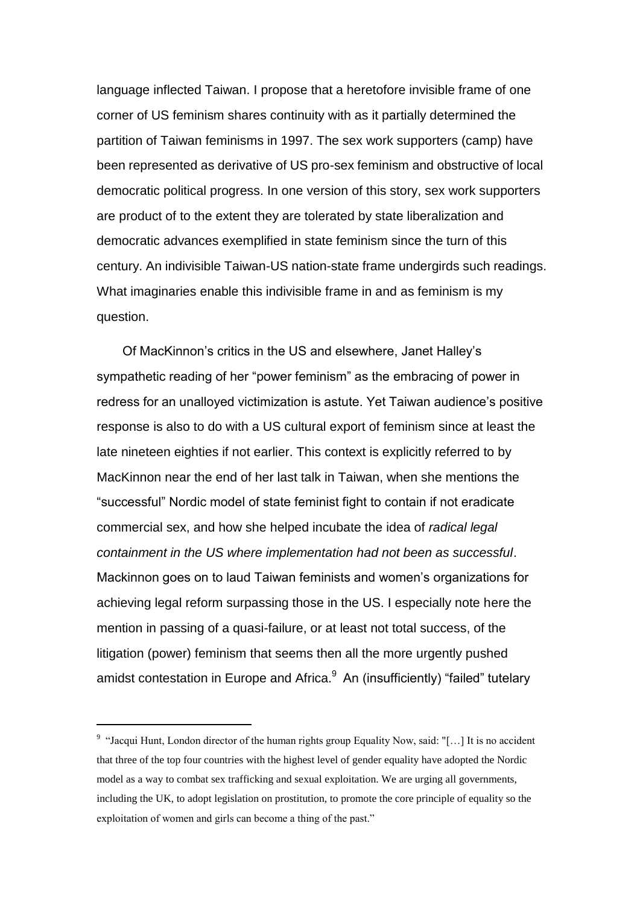language inflected Taiwan. I propose that a heretofore invisible frame of one corner of US feminism shares continuity with as it partially determined the partition of Taiwan feminisms in 1997. The sex work supporters (camp) have been represented as derivative of US pro-sex feminism and obstructive of local democratic political progress. In one version of this story, sex work supporters are product of to the extent they are tolerated by state liberalization and democratic advances exemplified in state feminism since the turn of this century. An indivisible Taiwan-US nation-state frame undergirds such readings. What imaginaries enable this indivisible frame in and as feminism is my question.

Of MacKinnon's critics in the US and elsewhere, Janet Halley's sympathetic reading of her "power feminism" as the embracing of power in redress for an unalloyed victimization is astute. Yet Taiwan audience's positive response is also to do with a US cultural export of feminism since at least the late nineteen eighties if not earlier. This context is explicitly referred to by MacKinnon near the end of her last talk in Taiwan, when she mentions the "successful" Nordic model of state feminist fight to contain if not eradicate commercial sex, and how she helped incubate the idea of *radical legal containment in the US where implementation had not been as successful*. Mackinnon goes on to laud Taiwan feminists and women's organizations for achieving legal reform surpassing those in the US. I especially note here the mention in passing of a quasi-failure, or at least not total success, of the litigation (power) feminism that seems then all the more urgently pushed amidst contestation in Europe and Africa. $9$  An (insufficiently) "failed" tutelary

<sup>&</sup>lt;sup>9</sup> "Jacqui Hunt, London director of the human rights group Equality Now, said: "[...] It is no accident that three of the top four countries with the highest level of gender equality have adopted the Nordic model as a way to combat sex trafficking and sexual exploitation. We are urging all governments, including the UK, to adopt legislation on prostitution, to promote the core principle of equality so the exploitation of women and girls can become a thing of the past."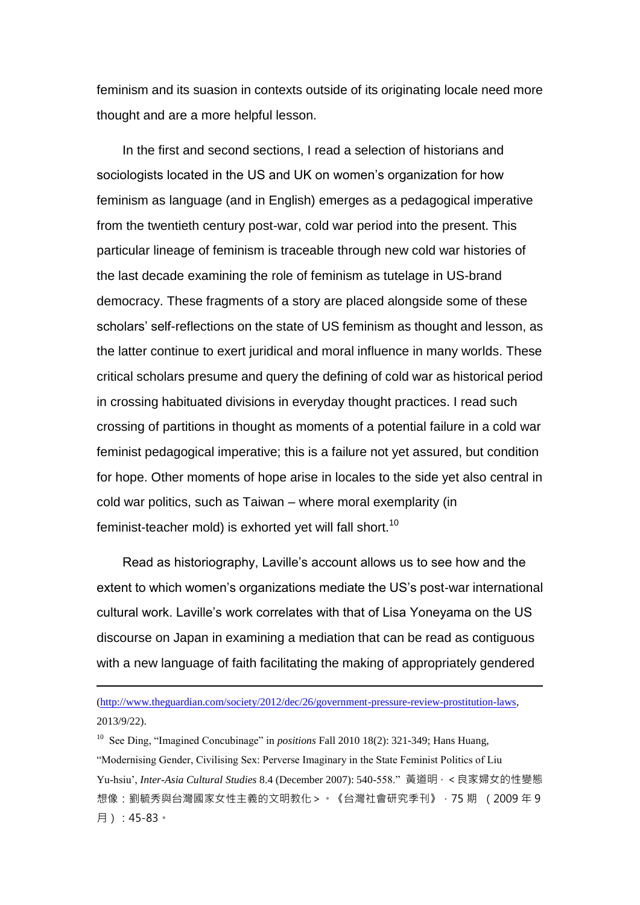feminism and its suasion in contexts outside of its originating locale need more thought and are a more helpful lesson.

In the first and second sections, I read a selection of historians and sociologists located in the US and UK on women's organization for how feminism as language (and in English) emerges as a pedagogical imperative from the twentieth century post-war, cold war period into the present. This particular lineage of feminism is traceable through new cold war histories of the last decade examining the role of feminism as tutelage in US-brand democracy. These fragments of a story are placed alongside some of these scholars' self-reflections on the state of US feminism as thought and lesson, as the latter continue to exert juridical and moral influence in many worlds. These critical scholars presume and query the defining of cold war as historical period in crossing habituated divisions in everyday thought practices. I read such crossing of partitions in thought as moments of a potential failure in a cold war feminist pedagogical imperative; this is a failure not yet assured, but condition for hope. Other moments of hope arise in locales to the side yet also central in cold war politics, such as Taiwan – where moral exemplarity (in feminist-teacher mold) is exhorted yet will fall short.<sup>10</sup>

Read as historiography, Laville's account allows us to see how and the extent to which women's organizations mediate the US's post-war international cultural work. Laville's work correlates with that of Lisa Yoneyama on the US discourse on Japan in examining a mediation that can be read as contiguous with a new language of faith facilitating the making of appropriately gendered

[\(http://www.theguardian.com/society/2012/dec/26/government-pressure-review-prostitution-laws,](http://www.theguardian.com/society/2012/dec/26/government-pressure-review-prostitution-laws)  2013/9/22).

-

<sup>10</sup> See Ding, "Imagined Concubinage" in *positions* Fall 2010 18(2): 321-349; Hans Huang, "Modernising Gender, Civilising Sex: Perverse Imaginary in the State Feminist Politics of Liu Yu-hsiu', *Inter-Asia Cultural Studies* 8.4 (December 2007): 540-558." 黃道明, <良家婦女的性變態 想像:劉毓秀與台灣國家女性主義的文明教化 > · 《台灣社會研究季刊》, 75 期 (2009年9 月):45-83。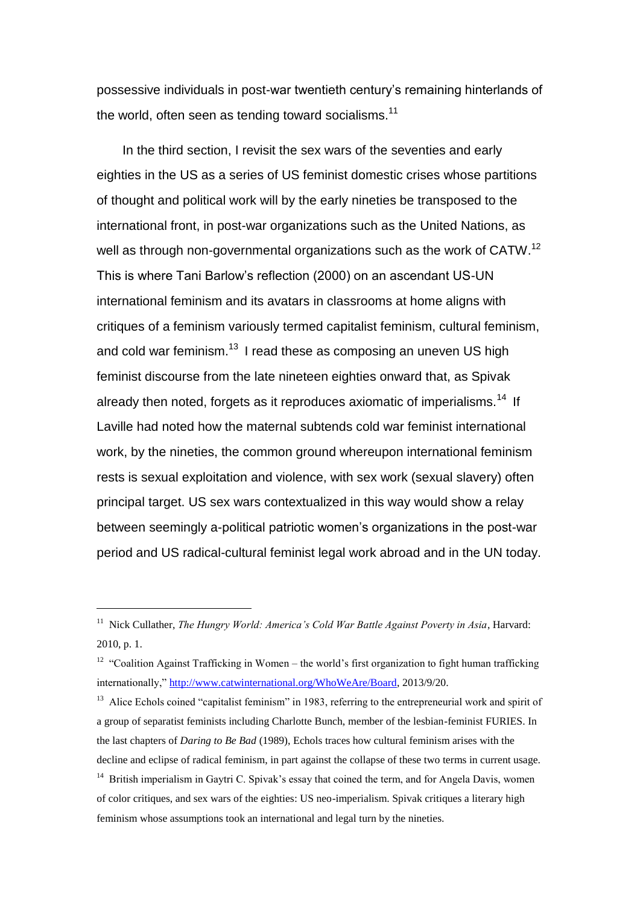possessive individuals in post-war twentieth century's remaining hinterlands of the world, often seen as tending toward socialisms.<sup>11</sup>

In the third section, I revisit the sex wars of the seventies and early eighties in the US as a series of US feminist domestic crises whose partitions of thought and political work will by the early nineties be transposed to the international front, in post-war organizations such as the United Nations, as well as through non-governmental organizations such as the work of CATW.<sup>12</sup> This is where Tani Barlow's reflection (2000) on an ascendant US-UN international feminism and its avatars in classrooms at home aligns with critiques of a feminism variously termed capitalist feminism, cultural feminism, and cold war feminism.<sup>13</sup> I read these as composing an uneven US high feminist discourse from the late nineteen eighties onward that, as Spivak already then noted, forgets as it reproduces axiomatic of imperialisms.<sup>14</sup> If Laville had noted how the maternal subtends cold war feminist international work, by the nineties, the common ground whereupon international feminism rests is sexual exploitation and violence, with sex work (sexual slavery) often principal target. US sex wars contextualized in this way would show a relay between seemingly a-political patriotic women's organizations in the post-war period and US radical-cultural feminist legal work abroad and in the UN today.

<sup>&</sup>lt;sup>11</sup> Nick Cullather, *The Hungry World: America's Cold War Battle Against Poverty in Asia*, Harvard: 2010, p. 1.

<sup>&</sup>lt;sup>12</sup> "Coalition Against Trafficking in Women – the world's first organization to fight human trafficking internationally," [http://www.catwinternational.org/WhoWeAre/Board,](http://www.catwinternational.org/WhoWeAre/Board) 2013/9/20.

<sup>&</sup>lt;sup>13</sup> Alice Echols coined "capitalist feminism" in 1983, referring to the entrepreneurial work and spirit of a group of separatist feminists including Charlotte Bunch, member of the lesbian-feminist FURIES. In the last chapters of *Daring to Be Bad* (1989), Echols traces how cultural feminism arises with the decline and eclipse of radical feminism, in part against the collapse of these two terms in current usage.

<sup>&</sup>lt;sup>14</sup> British imperialism in Gaytri C. Spivak's essay that coined the term, and for Angela Davis, women of color critiques, and sex wars of the eighties: US neo-imperialism. Spivak critiques a literary high feminism whose assumptions took an international and legal turn by the nineties.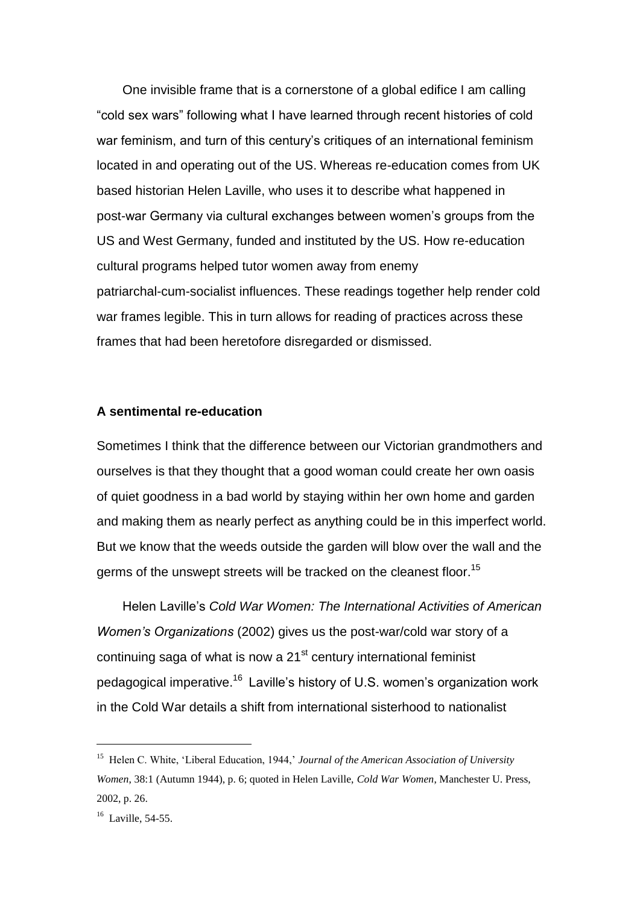One invisible frame that is a cornerstone of a global edifice I am calling "cold sex wars" following what I have learned through recent histories of cold war feminism, and turn of this century's critiques of an international feminism located in and operating out of the US. Whereas re-education comes from UK based historian Helen Laville, who uses it to describe what happened in post-war Germany via cultural exchanges between women's groups from the US and West Germany, funded and instituted by the US. How re-education cultural programs helped tutor women away from enemy patriarchal-cum-socialist influences. These readings together help render cold war frames legible. This in turn allows for reading of practices across these frames that had been heretofore disregarded or dismissed.

## **A sentimental re-education**

Sometimes I think that the difference between our Victorian grandmothers and ourselves is that they thought that a good woman could create her own oasis of quiet goodness in a bad world by staying within her own home and garden and making them as nearly perfect as anything could be in this imperfect world. But we know that the weeds outside the garden will blow over the wall and the germs of the unswept streets will be tracked on the cleanest floor.<sup>15</sup>

Helen Laville's *Cold War Women: The International Activities of American Women's Organizations* (2002) gives us the post-war/cold war story of a continuing saga of what is now a  $21<sup>st</sup>$  century international feminist pedagogical imperative.<sup>16</sup> Laville's history of U.S. women's organization work in the Cold War details a shift from international sisterhood to nationalist

<sup>15</sup> Helen C. White, 'Liberal Education, 1944,' *Journal of the American Association of University Women*, 38:1 (Autumn 1944), p. 6; quoted in Helen Laville, *Cold War Women*, Manchester U. Press, 2002, p. 26.

 $16$  Laville, 54-55.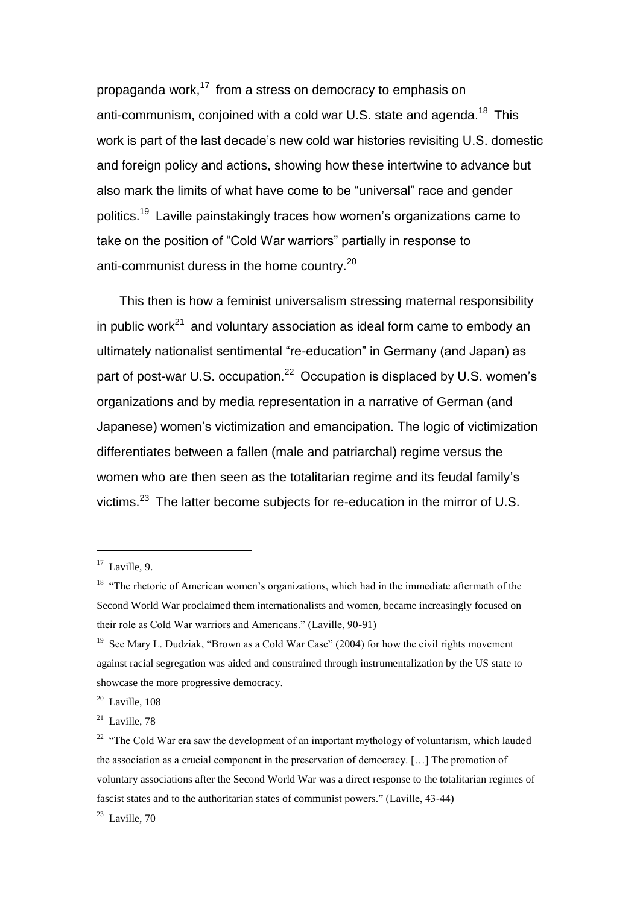propaganda work,<sup>17</sup> from a stress on democracy to emphasis on anti-communism, conjoined with a cold war U.S. state and agenda.<sup>18</sup> This work is part of the last decade's new cold war histories revisiting U.S. domestic and foreign policy and actions, showing how these intertwine to advance but also mark the limits of what have come to be "universal" race and gender politics.<sup>19</sup> Laville painstakingly traces how women's organizations came to take on the position of "Cold War warriors" partially in response to anti-communist duress in the home country.<sup>20</sup>

This then is how a feminist universalism stressing maternal responsibility in public work<sup>21</sup> and voluntary association as ideal form came to embody an ultimately nationalist sentimental "re-education" in Germany (and Japan) as part of post-war U.S. occupation.<sup>22</sup> Occupation is displaced by U.S. women's organizations and by media representation in a narrative of German (and Japanese) women's victimization and emancipation. The logic of victimization differentiates between a fallen (male and patriarchal) regime versus the women who are then seen as the totalitarian regime and its feudal family's victims.<sup>23</sup> The latter become subjects for re-education in the mirror of U.S.

 $17$  Laville, 9.

<sup>&</sup>lt;sup>18</sup> "The rhetoric of American women's organizations, which had in the immediate aftermath of the Second World War proclaimed them internationalists and women, became increasingly focused on their role as Cold War warriors and Americans." (Laville, 90-91)

<sup>&</sup>lt;sup>19</sup> See Mary L. Dudziak, "Brown as a Cold War Case" (2004) for how the civil rights movement against racial segregation was aided and constrained through instrumentalization by the US state to showcase the more progressive democracy.

 $20$  Laville, 108

 $21$  Laville, 78

<sup>&</sup>lt;sup>22</sup> "The Cold War era saw the development of an important mythology of voluntarism, which lauded the association as a crucial component in the preservation of democracy. […] The promotion of voluntary associations after the Second World War was a direct response to the totalitarian regimes of fascist states and to the authoritarian states of communist powers." (Laville, 43-44)

 $23$  Laville, 70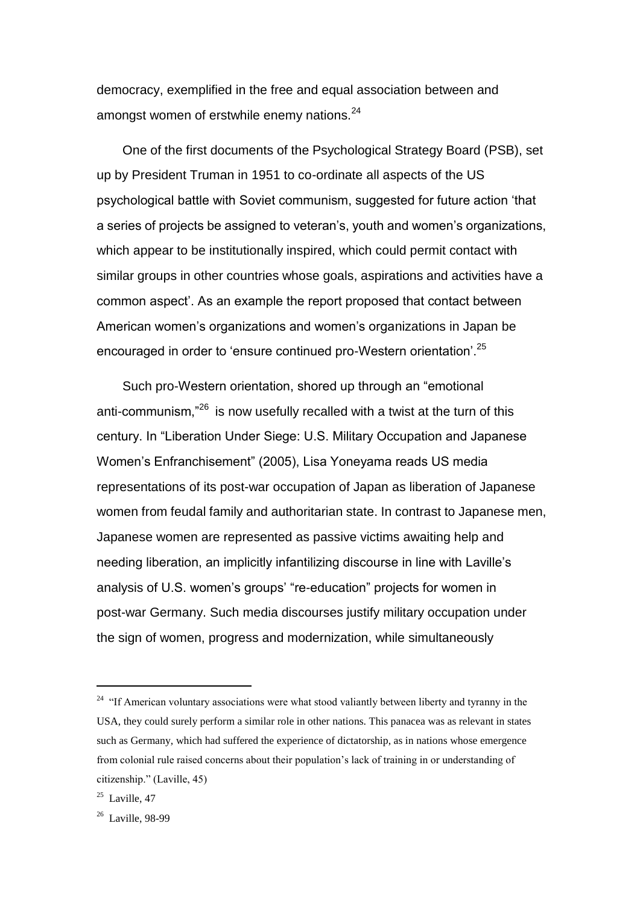democracy, exemplified in the free and equal association between and amongst women of erstwhile enemy nations.<sup>24</sup>

One of the first documents of the Psychological Strategy Board (PSB), set up by President Truman in 1951 to co-ordinate all aspects of the US psychological battle with Soviet communism, suggested for future action 'that a series of projects be assigned to veteran's, youth and women's organizations, which appear to be institutionally inspired, which could permit contact with similar groups in other countries whose goals, aspirations and activities have a common aspect'. As an example the report proposed that contact between American women's organizations and women's organizations in Japan be encouraged in order to 'ensure continued pro-Western orientation'.<sup>25</sup>

Such pro-Western orientation, shored up through an "emotional anti-communism,<sup>"26</sup> is now usefully recalled with a twist at the turn of this century. In "Liberation Under Siege: U.S. Military Occupation and Japanese Women's Enfranchisement" (2005), Lisa Yoneyama reads US media representations of its post-war occupation of Japan as liberation of Japanese women from feudal family and authoritarian state. In contrast to Japanese men, Japanese women are represented as passive victims awaiting help and needing liberation, an implicitly infantilizing discourse in line with Laville's analysis of U.S. women's groups' "re-education" projects for women in post-war Germany. Such media discourses justify military occupation under the sign of women, progress and modernization, while simultaneously

 $24$  "If American voluntary associations were what stood valiantly between liberty and tyranny in the USA, they could surely perform a similar role in other nations. This panacea was as relevant in states such as Germany, which had suffered the experience of dictatorship, as in nations whose emergence from colonial rule raised concerns about their population's lack of training in or understanding of citizenship." (Laville, 45)

 $25$  Laville, 47

<sup>&</sup>lt;sup>26</sup> Laville, 98-99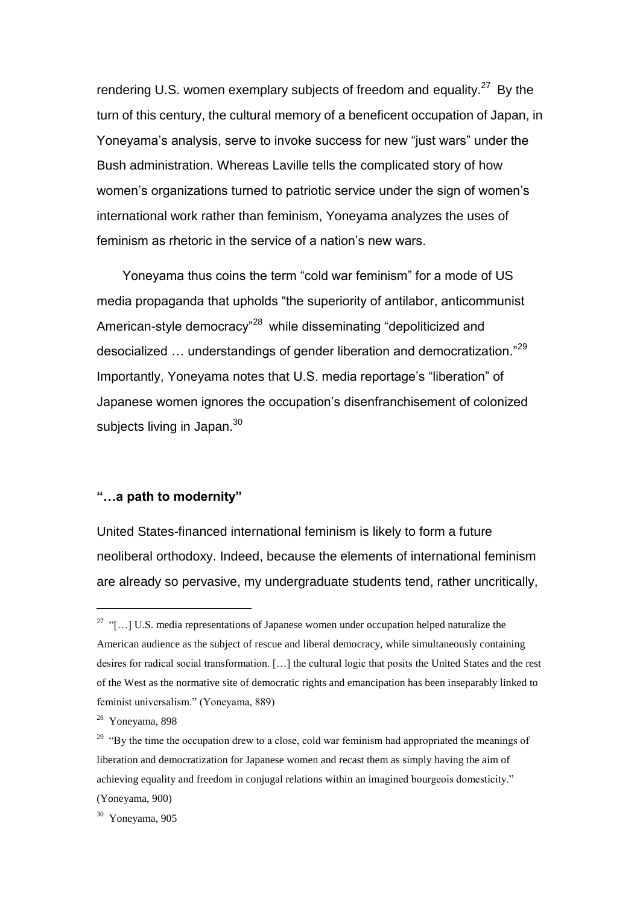rendering U.S. women exemplary subjects of freedom and equality.<sup>27</sup> By the turn of this century, the cultural memory of a beneficent occupation of Japan, in Yoneyama's analysis, serve to invoke success for new "just wars" under the Bush administration. Whereas Laville tells the complicated story of how women's organizations turned to patriotic service under the sign of women's international work rather than feminism, Yoneyama analyzes the uses of feminism as rhetoric in the service of a nation's new wars.

Yoneyama thus coins the term "cold war feminism" for a mode of US media propaganda that upholds "the superiority of antilabor, anticommunist American-style democracy<sup>"28</sup> while disseminating "depoliticized and desocialized ... understandings of gender liberation and democratization."<sup>29</sup> Importantly, Yoneyama notes that U.S. media reportage's "liberation" of Japanese women ignores the occupation's disenfranchisement of colonized subjects living in Japan.<sup>30</sup>

## **"…a path to modernity"**

United States-financed international feminism is likely to form a future neoliberal orthodoxy. Indeed, because the elements of international feminism are already so pervasive, my undergraduate students tend, rather uncritically,

 $27$  "[...] U.S. media representations of Japanese women under occupation helped naturalize the American audience as the subject of rescue and liberal democracy, while simultaneously containing desires for radical social transformation. […] the cultural logic that posits the United States and the rest of the West as the normative site of democratic rights and emancipation has been inseparably linked to feminist universalism." (Yoneyama, 889)

<sup>28</sup> Yoneyama, 898

<sup>&</sup>lt;sup>29</sup> "By the time the occupation drew to a close, cold war feminism had appropriated the meanings of liberation and democratization for Japanese women and recast them as simply having the aim of achieving equality and freedom in conjugal relations within an imagined bourgeois domesticity." (Yoneyama, 900)

<sup>30</sup> Yoneyama, 905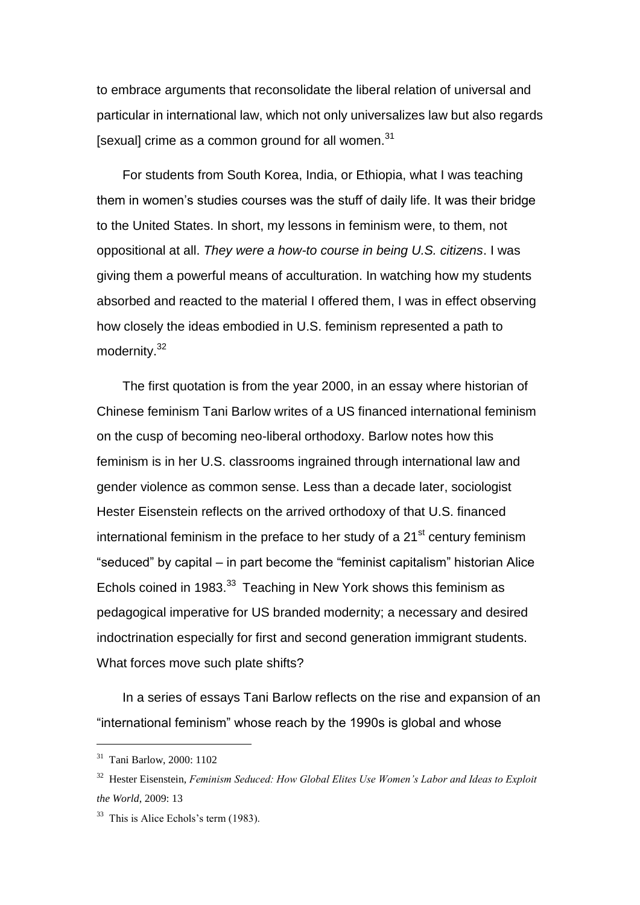to embrace arguments that reconsolidate the liberal relation of universal and particular in international law, which not only universalizes law but also regards [sexual] crime as a common ground for all women.<sup>31</sup>

For students from South Korea, India, or Ethiopia, what I was teaching them in women's studies courses was the stuff of daily life. It was their bridge to the United States. In short, my lessons in feminism were, to them, not oppositional at all. *They were a how-to course in being U.S. citizens*. I was giving them a powerful means of acculturation. In watching how my students absorbed and reacted to the material I offered them, I was in effect observing how closely the ideas embodied in U.S. feminism represented a path to modernity.<sup>32</sup>

The first quotation is from the year 2000, in an essay where historian of Chinese feminism Tani Barlow writes of a US financed international feminism on the cusp of becoming neo-liberal orthodoxy. Barlow notes how this feminism is in her U.S. classrooms ingrained through international law and gender violence as common sense. Less than a decade later, sociologist Hester Eisenstein reflects on the arrived orthodoxy of that U.S. financed international feminism in the preface to her study of a  $21<sup>st</sup>$  century feminism "seduced" by capital – in part become the "feminist capitalism" historian Alice Echols coined in 1983. $33$  Teaching in New York shows this feminism as pedagogical imperative for US branded modernity; a necessary and desired indoctrination especially for first and second generation immigrant students. What forces move such plate shifts?

In a series of essays Tani Barlow reflects on the rise and expansion of an "international feminism" whose reach by the 1990s is global and whose

<sup>31</sup> Tani Barlow, 2000: 1102

<sup>32</sup> Hester Eisenstein, *Feminism Seduced: How Global Elites Use Women's Labor and Ideas to Exploit the World*, 2009: 13

 $33$  This is Alice Echols's term (1983).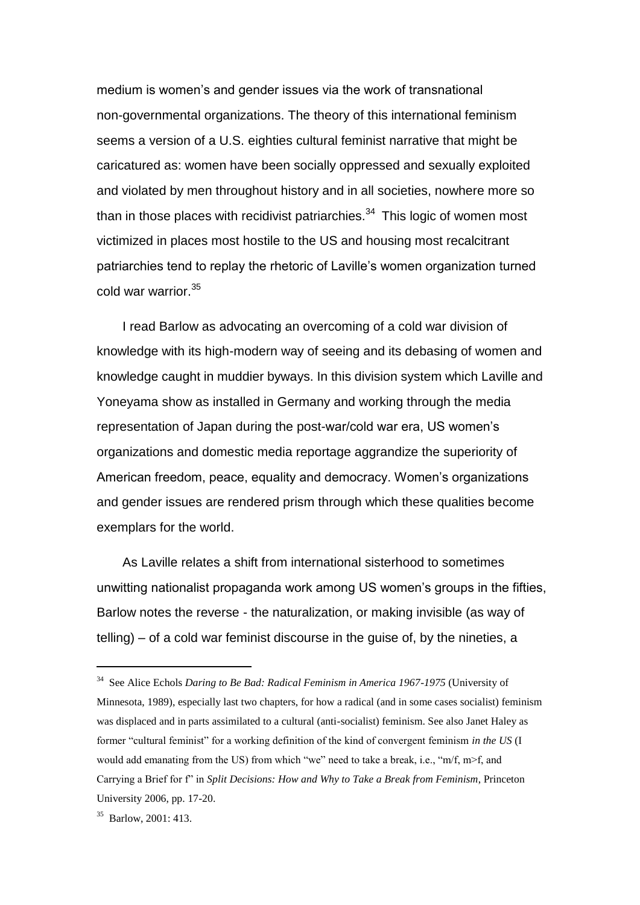medium is women's and gender issues via the work of transnational non-governmental organizations. The theory of this international feminism seems a version of a U.S. eighties cultural feminist narrative that might be caricatured as: women have been socially oppressed and sexually exploited and violated by men throughout history and in all societies, nowhere more so than in those places with recidivist patriarchies. $34$  This logic of women most victimized in places most hostile to the US and housing most recalcitrant patriarchies tend to replay the rhetoric of Laville's women organization turned cold war warrior.<sup>35</sup>

I read Barlow as advocating an overcoming of a cold war division of knowledge with its high-modern way of seeing and its debasing of women and knowledge caught in muddier byways. In this division system which Laville and Yoneyama show as installed in Germany and working through the media representation of Japan during the post-war/cold war era, US women's organizations and domestic media reportage aggrandize the superiority of American freedom, peace, equality and democracy. Women's organizations and gender issues are rendered prism through which these qualities become exemplars for the world.

As Laville relates a shift from international sisterhood to sometimes unwitting nationalist propaganda work among US women's groups in the fifties, Barlow notes the reverse - the naturalization, or making invisible (as way of telling) – of a cold war feminist discourse in the guise of, by the nineties, a

<sup>34</sup> See Alice Echols *Daring to Be Bad: Radical Feminism in America 1967-1975* (University of Minnesota, 1989), especially last two chapters, for how a radical (and in some cases socialist) feminism was displaced and in parts assimilated to a cultural (anti-socialist) feminism. See also Janet Haley as former "cultural feminist" for a working definition of the kind of convergent feminism *in the US* (I would add emanating from the US) from which "we" need to take a break, i.e., " $m/f$ ,  $m$ - $f$ , and Carrying a Brief for f" in *Split Decisions: How and Why to Take a Break from Feminism*, Princeton University 2006, pp. 17-20.

<sup>35</sup> Barlow, 2001: 413.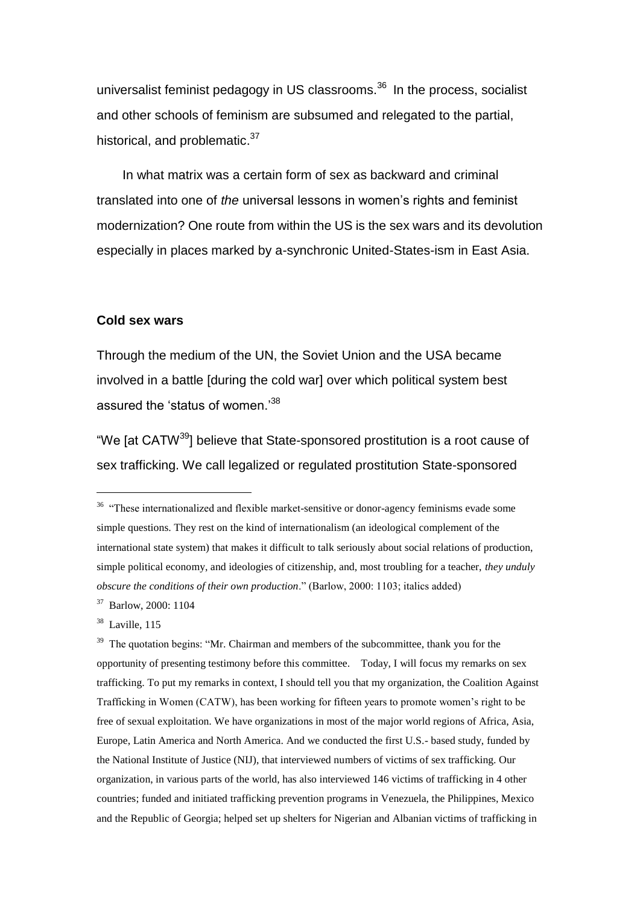universalist feminist pedagogy in US classrooms.<sup>36</sup> In the process, socialist and other schools of feminism are subsumed and relegated to the partial, historical, and problematic.<sup>37</sup>

In what matrix was a certain form of sex as backward and criminal translated into one of *the* universal lessons in women's rights and feminist modernization? One route from within the US is the sex wars and its devolution especially in places marked by a-synchronic United-States-ism in East Asia.

#### **Cold sex wars**

Through the medium of the UN, the Soviet Union and the USA became involved in a battle [during the cold war] over which political system best assured the 'status of women.'<sup>38</sup>

"We [at CATW<sup>39</sup>] believe that State-sponsored prostitution is a root cause of sex trafficking. We call legalized or regulated prostitution State-sponsored

<sup>37</sup> Barlow, 2000: 1104

<sup>&</sup>lt;sup>36</sup> "These internationalized and flexible market-sensitive or donor-agency feminisms evade some simple questions. They rest on the kind of internationalism (an ideological complement of the international state system) that makes it difficult to talk seriously about social relations of production, simple political economy, and ideologies of citizenship, and, most troubling for a teacher, *they unduly obscure the conditions of their own production*." (Barlow, 2000: 1103; italics added)

<sup>&</sup>lt;sup>38</sup> Laville, 115

<sup>&</sup>lt;sup>39</sup> The quotation begins: "Mr. Chairman and members of the subcommittee, thank you for the opportunity of presenting testimony before this committee. Today, I will focus my remarks on sex trafficking. To put my remarks in context, I should tell you that my organization, the Coalition Against Trafficking in Women (CATW), has been working for fifteen years to promote women's right to be free of sexual exploitation. We have organizations in most of the major world regions of Africa, Asia, Europe, Latin America and North America. And we conducted the first U.S.- based study, funded by the National Institute of Justice (NIJ), that interviewed numbers of victims of sex trafficking. Our organization, in various parts of the world, has also interviewed 146 victims of trafficking in 4 other countries; funded and initiated trafficking prevention programs in Venezuela, the Philippines, Mexico and the Republic of Georgia; helped set up shelters for Nigerian and Albanian victims of trafficking in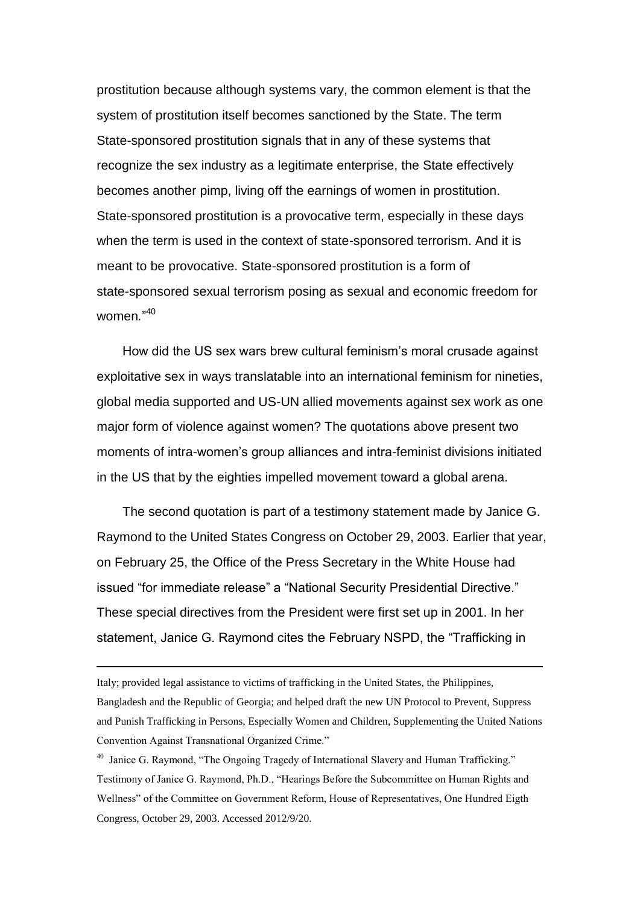prostitution because although systems vary, the common element is that the system of prostitution itself becomes sanctioned by the State. The term State-sponsored prostitution signals that in any of these systems that recognize the sex industry as a legitimate enterprise, the State effectively becomes another pimp, living off the earnings of women in prostitution. State-sponsored prostitution is a provocative term, especially in these days when the term is used in the context of state-sponsored terrorism. And it is meant to be provocative. State-sponsored prostitution is a form of state-sponsored sexual terrorism posing as sexual and economic freedom for women*.*" 40

How did the US sex wars brew cultural feminism's moral crusade against exploitative sex in ways translatable into an international feminism for nineties, global media supported and US-UN allied movements against sex work as one major form of violence against women? The quotations above present two moments of intra-women's group alliances and intra-feminist divisions initiated in the US that by the eighties impelled movement toward a global arena.

The second quotation is part of a testimony statement made by Janice G. Raymond to the United States Congress on October 29, 2003. Earlier that year, on February 25, the Office of the Press Secretary in the White House had issued "for immediate release" a "National Security Presidential Directive." These special directives from the President were first set up in 2001. In her statement, Janice G. Raymond cites the February NSPD, the "Trafficking in

Italy; provided legal assistance to victims of trafficking in the United States, the Philippines, Bangladesh and the Republic of Georgia; and helped draft the new UN Protocol to Prevent, Suppress and Punish Trafficking in Persons, Especially Women and Children, Supplementing the United Nations Convention Against Transnational Organized Crime."

<sup>&</sup>lt;sup>40</sup> Janice G. Raymond, "The Ongoing Tragedy of International Slavery and Human Trafficking." Testimony of Janice G. Raymond, Ph.D., "Hearings Before the Subcommittee on Human Rights and Wellness" of the Committee on Government Reform, House of Representatives, One Hundred Eigth Congress, October 29, 2003. Accessed 2012/9/20.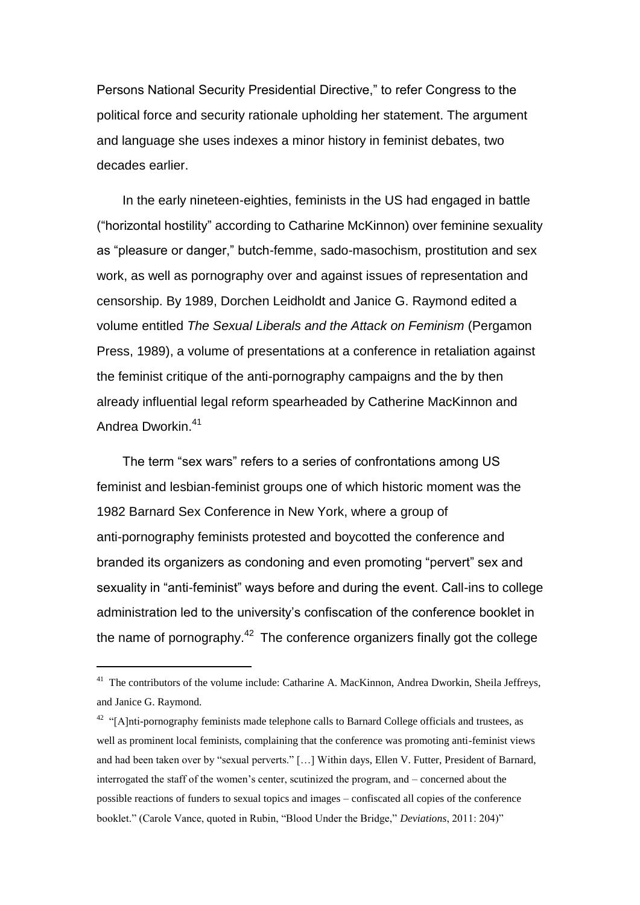Persons National Security Presidential Directive," to refer Congress to the political force and security rationale upholding her statement. The argument and language she uses indexes a minor history in feminist debates, two decades earlier.

In the early nineteen-eighties, feminists in the US had engaged in battle ("horizontal hostility" according to Catharine McKinnon) over feminine sexuality as "pleasure or danger," butch-femme, sado-masochism, prostitution and sex work, as well as pornography over and against issues of representation and censorship. By 1989, Dorchen Leidholdt and Janice G. Raymond edited a volume entitled *The Sexual Liberals and the Attack on Feminism* (Pergamon Press, 1989), a volume of presentations at a conference in retaliation against the feminist critique of the anti-pornography campaigns and the by then already influential legal reform spearheaded by Catherine MacKinnon and Andrea Dworkin.<sup>41</sup>

The term "sex wars" refers to a series of confrontations among US feminist and lesbian-feminist groups one of which historic moment was the 1982 Barnard Sex Conference in New York, where a group of anti-pornography feminists protested and boycotted the conference and branded its organizers as condoning and even promoting "pervert" sex and sexuality in "anti-feminist" ways before and during the event. Call-ins to college administration led to the university's confiscation of the conference booklet in the name of pornography.<sup>42</sup> The conference organizers finally got the college

<sup>&</sup>lt;sup>41</sup> The contributors of the volume include: Catharine A. MacKinnon, Andrea Dworkin, Sheila Jeffreys, and Janice G. Raymond.

 $42$  "[A]nti-pornography feminists made telephone calls to Barnard College officials and trustees, as well as prominent local feminists, complaining that the conference was promoting anti-feminist views and had been taken over by "sexual perverts." […] Within days, Ellen V. Futter, President of Barnard, interrogated the staff of the women's center, scutinized the program, and – concerned about the possible reactions of funders to sexual topics and images – confiscated all copies of the conference booklet." (Carole Vance, quoted in Rubin, "Blood Under the Bridge," *Deviations*, 2011: 204)"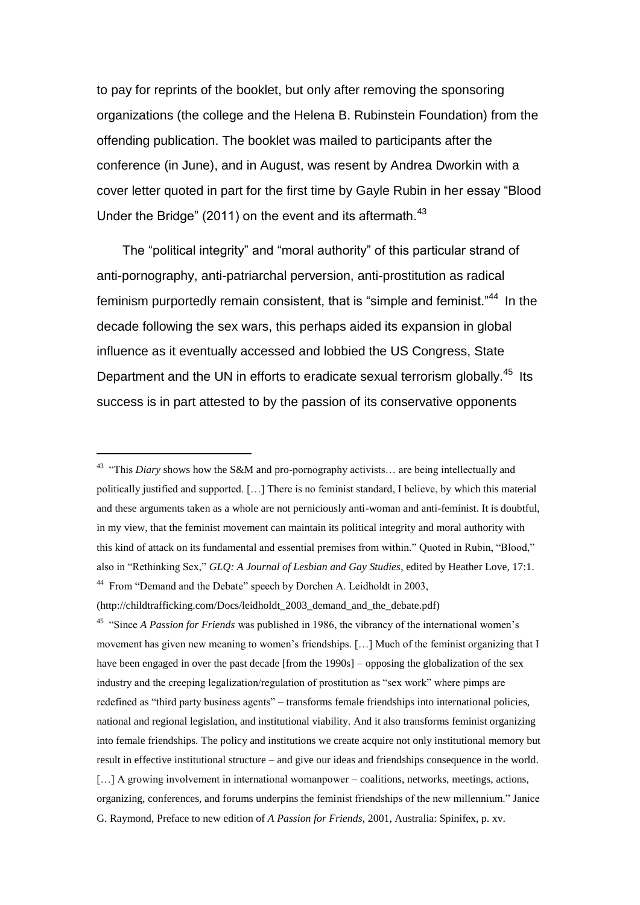to pay for reprints of the booklet, but only after removing the sponsoring organizations (the college and the Helena B. Rubinstein Foundation) from the offending publication. The booklet was mailed to participants after the conference (in June), and in August, was resent by Andrea Dworkin with a cover letter quoted in part for the first time by Gayle Rubin in her essay "Blood Under the Bridge" (2011) on the event and its aftermath.<sup>43</sup>

The "political integrity" and "moral authority" of this particular strand of anti-pornography, anti-patriarchal perversion, anti-prostitution as radical feminism purportedly remain consistent, that is "simple and feminist."<sup>44</sup> In the decade following the sex wars, this perhaps aided its expansion in global influence as it eventually accessed and lobbied the US Congress, State Department and the UN in efforts to eradicate sexual terrorism globally.<sup>45</sup> Its success is in part attested to by the passion of its conservative opponents

-

<sup>45</sup> "Since *A Passion for Friends* was published in 1986, the vibrancy of the international women's movement has given new meaning to women's friendships. […] Much of the feminist organizing that I have been engaged in over the past decade [from the 1990s] – opposing the globalization of the sex industry and the creeping legalization/regulation of prostitution as "sex work" where pimps are redefined as "third party business agents" – transforms female friendships into international policies, national and regional legislation, and institutional viability. And it also transforms feminist organizing into female friendships. The policy and institutions we create acquire not only institutional memory but result in effective institutional structure – and give our ideas and friendships consequence in the world. [...] A growing involvement in international womanpower – coalitions, networks, meetings, actions, organizing, conferences, and forums underpins the feminist friendships of the new millennium." Janice G. Raymond, Preface to new edition of *A Passion for Friends*, 2001, Australia: Spinifex, p. xv.

<sup>&</sup>lt;sup>43</sup> "This *Diary* shows how the S&M and pro-pornography activists... are being intellectually and politically justified and supported. […] There is no feminist standard, I believe, by which this material and these arguments taken as a whole are not perniciously anti-woman and anti-feminist. It is doubtful, in my view, that the feminist movement can maintain its political integrity and moral authority with this kind of attack on its fundamental and essential premises from within." Quoted in Rubin, "Blood," also in "Rethinking Sex," *GLQ: A Journal of Lesbian and Gay Studies*, edited by Heather Love, 17:1. <sup>44</sup> From "Demand and the Debate" speech by Dorchen A. Leidholdt in 2003,

<sup>(</sup>http://childtrafficking.com/Docs/leidholdt\_2003\_demand\_and\_the\_debate.pdf)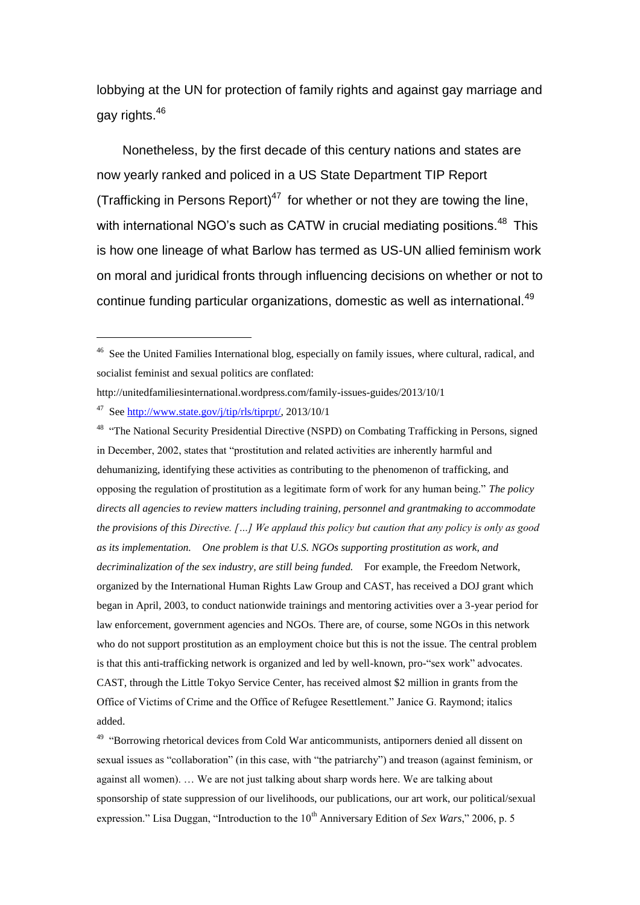lobbying at the UN for protection of family rights and against gay marriage and gay rights.<sup>46</sup>

Nonetheless, by the first decade of this century nations and states are now yearly ranked and policed in a US State Department TIP Report (Trafficking in Persons Report)<sup>47</sup> for whether or not they are towing the line, with international NGO's such as CATW in crucial mediating positions.<sup>48</sup> This is how one lineage of what Barlow has termed as US-UN allied feminism work on moral and juridical fronts through influencing decisions on whether or not to continue funding particular organizations, domestic as well as international.<sup>49</sup>

<sup>46</sup> See the United Families International blog, especially on family issues, where cultural, radical, and socialist feminist and sexual politics are conflated:

http://unitedfamiliesinternational.wordpress.com/family-issues-guides/2013/10/1

<sup>47</sup> See [http://www.state.gov/j/tip/rls/tiprpt/,](http://www.state.gov/j/tip/rls/tiprpt/) 2013/10/1

<sup>&</sup>lt;sup>48</sup> "The National Security Presidential Directive (NSPD) on Combating Trafficking in Persons, signed in December, 2002, states that "prostitution and related activities are inherently harmful and dehumanizing, identifying these activities as contributing to the phenomenon of trafficking, and opposing the regulation of prostitution as a legitimate form of work for any human being." *The policy directs all agencies to review matters including training, personnel and grantmaking to accommodate the provisions of this Directive. […] We applaud this policy but caution that any policy is only as good as its implementation. One problem is that U.S. NGOs supporting prostitution as work, and decriminalization of the sex industry, are still being funded.*For example, the Freedom Network, organized by the International Human Rights Law Group and CAST, has received a DOJ grant which began in April, 2003, to conduct nationwide trainings and mentoring activities over a 3-year period for law enforcement, government agencies and NGOs. There are, of course, some NGOs in this network who do not support prostitution as an employment choice but this is not the issue. The central problem is that this anti-trafficking network is organized and led by well-known, pro-"sex work" advocates. CAST, through the Little Tokyo Service Center, has received almost \$2 million in grants from the Office of Victims of Crime and the Office of Refugee Resettlement." Janice G. Raymond; italics added.

<sup>&</sup>lt;sup>49</sup> "Borrowing rhetorical devices from Cold War anticommunists, antiporners denied all dissent on sexual issues as "collaboration" (in this case, with "the patriarchy") and treason (against feminism, or against all women). … We are not just talking about sharp words here. We are talking about sponsorship of state suppression of our livelihoods, our publications, our art work, our political/sexual expression." Lisa Duggan, "Introduction to the 10<sup>th</sup> Anniversary Edition of *Sex Wars*," 2006, p. 5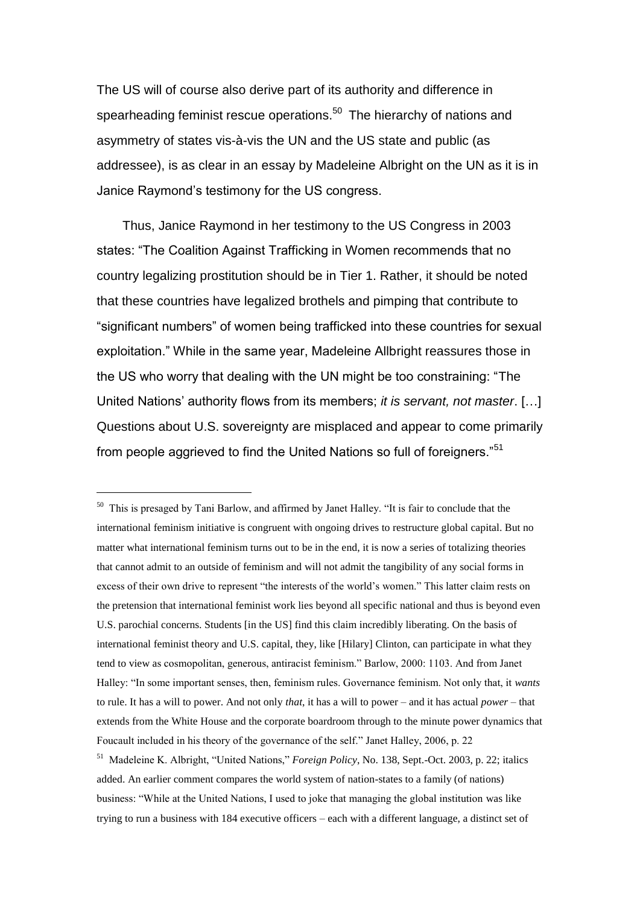The US will of course also derive part of its authority and difference in spearheading feminist rescue operations.<sup>50</sup> The hierarchy of nations and asymmetry of states vis-à-vis the UN and the US state and public (as addressee), is as clear in an essay by Madeleine Albright on the UN as it is in Janice Raymond's testimony for the US congress.

Thus, Janice Raymond in her testimony to the US Congress in 2003 states: "The Coalition Against Trafficking in Women recommends that no country legalizing prostitution should be in Tier 1. Rather, it should be noted that these countries have legalized brothels and pimping that contribute to "significant numbers" of women being trafficked into these countries for sexual exploitation." While in the same year, Madeleine Allbright reassures those in the US who worry that dealing with the UN might be too constraining: "The United Nations' authority flows from its members; *it is servant, not master*. […] Questions about U.S. sovereignty are misplaced and appear to come primarily from people aggrieved to find the United Nations so full of foreigners."<sup>51</sup>

<sup>50</sup> This is presaged by Tani Barlow, and affirmed by Janet Halley. "It is fair to conclude that the international feminism initiative is congruent with ongoing drives to restructure global capital. But no matter what international feminism turns out to be in the end, it is now a series of totalizing theories that cannot admit to an outside of feminism and will not admit the tangibility of any social forms in excess of their own drive to represent "the interests of the world's women." This latter claim rests on the pretension that international feminist work lies beyond all specific national and thus is beyond even U.S. parochial concerns. Students [in the US] find this claim incredibly liberating. On the basis of international feminist theory and U.S. capital, they, like [Hilary] Clinton, can participate in what they tend to view as cosmopolitan, generous, antiracist feminism." Barlow, 2000: 1103. And from Janet Halley: "In some important senses, then, feminism rules. Governance feminism. Not only that, it *wants* to rule. It has a will to power. And not only *that*, it has a will to power – and it has actual *power* – that extends from the White House and the corporate boardroom through to the minute power dynamics that Foucault included in his theory of the governance of the self." Janet Halley, 2006, p. 22

<sup>51</sup> Madeleine K. Albright, "United Nations," *Foreign Policy*, No. 138, Sept.-Oct. 2003, p. 22; italics added. An earlier comment compares the world system of nation-states to a family (of nations) business: "While at the United Nations, I used to joke that managing the global institution was like trying to run a business with 184 executive officers – each with a different language, a distinct set of